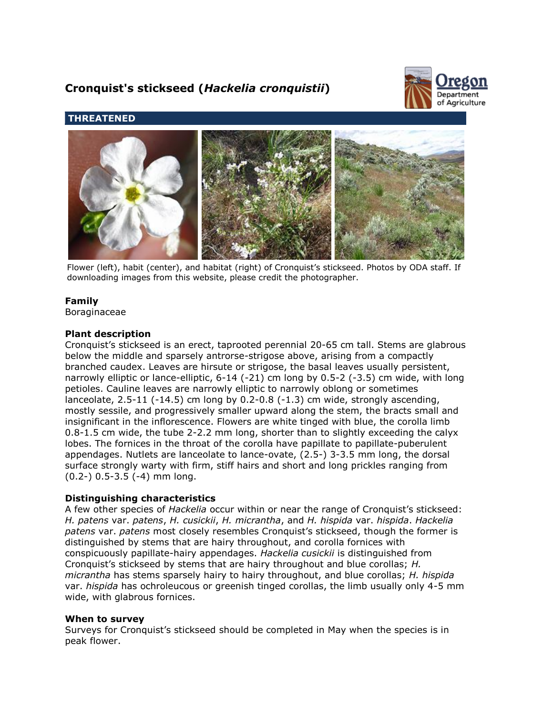# **Cronquist's stickseed (***Hackelia cronquistii***)**



# **THREATENED**



Flower (left), habit (center), and habitat (right) of Cronquist's stickseed. Photos by ODA staff. If downloading images from this website, please credit the photographer.

# **Family**

Boraginaceae

# **Plant description**

Cronquist's stickseed is an erect, taprooted perennial 20-65 cm tall. Stems are glabrous below the middle and sparsely antrorse-strigose above, arising from a compactly branched caudex. Leaves are hirsute or strigose, the basal leaves usually persistent, narrowly elliptic or lance-elliptic, 6-14 (-21) cm long by 0.5-2 (-3.5) cm wide, with long petioles. Cauline leaves are narrowly elliptic to narrowly oblong or sometimes lanceolate,  $2.5-11$  (-14.5) cm long by  $0.2-0.8$  (-1.3) cm wide, strongly ascending, mostly sessile, and progressively smaller upward along the stem, the bracts small and insignificant in the inflorescence. Flowers are white tinged with blue, the corolla limb 0.8-1.5 cm wide, the tube 2-2.2 mm long, shorter than to slightly exceeding the calyx lobes. The fornices in the throat of the corolla have papillate to papillate-puberulent appendages. Nutlets are lanceolate to lance-ovate, (2.5-) 3-3.5 mm long, the dorsal surface strongly warty with firm, stiff hairs and short and long prickles ranging from (0.2-) 0.5-3.5 (-4) mm long.

# **Distinguishing characteristics**

A few other species of *Hackelia* occur within or near the range of Cronquist's stickseed: *H. patens* var. *patens*, *H. cusickii*, *H. micrantha*, and *H. hispida* var. *hispida*. *Hackelia patens* var. *patens* most closely resembles Cronquist's stickseed, though the former is distinguished by stems that are hairy throughout, and corolla fornices with conspicuously papillate-hairy appendages. *Hackelia cusickii* is distinguished from Cronquist's stickseed by stems that are hairy throughout and blue corollas; *H. micrantha* has stems sparsely hairy to hairy throughout, and blue corollas; *H. hispida* var. *hispida* has ochroleucous or greenish tinged corollas, the limb usually only 4-5 mm wide, with glabrous fornices.

#### **When to survey**

Surveys for Cronquist's stickseed should be completed in May when the species is in peak flower.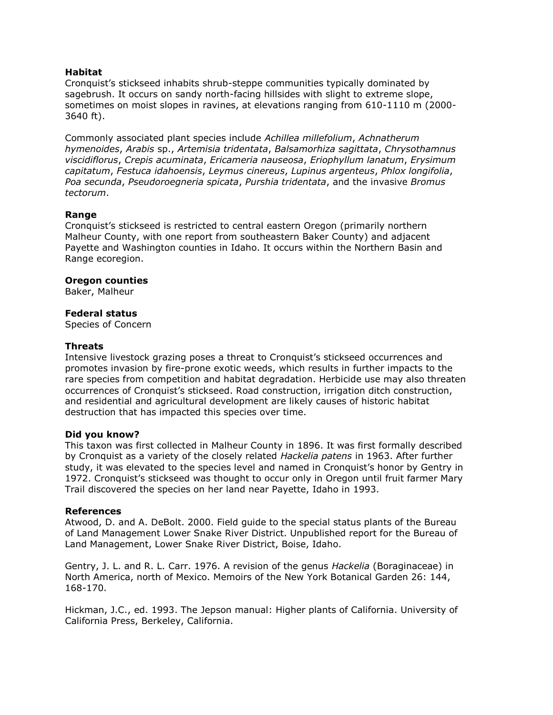## **Habitat**

Cronquist's stickseed inhabits shrub-steppe communities typically dominated by sagebrush. It occurs on sandy north-facing hillsides with slight to extreme slope, sometimes on moist slopes in ravines, at elevations ranging from 610-1110 m (2000- 3640 ft).

Commonly associated plant species include *Achillea millefolium*, *Achnatherum hymenoides*, *Arabis* sp., *Artemisia tridentata*, *Balsamorhiza sagittata*, *Chrysothamnus viscidiflorus*, *Crepis acuminata*, *Ericameria nauseosa*, *Eriophyllum lanatum*, *Erysimum capitatum*, *Festuca idahoensis*, *Leymus cinereus*, *Lupinus argenteus*, *Phlox longifolia*, *Poa secunda*, *Pseudoroegneria spicata*, *Purshia tridentata*, and the invasive *Bromus tectorum*.

#### **Range**

Cronquist's stickseed is restricted to central eastern Oregon (primarily northern Malheur County, with one report from southeastern Baker County) and adjacent Payette and Washington counties in Idaho. It occurs within the Northern Basin and Range ecoregion.

## **Oregon counties**

Baker, Malheur

## **Federal status**

Species of Concern

#### **Threats**

Intensive livestock grazing poses a threat to Cronquist's stickseed occurrences and promotes invasion by fire-prone exotic weeds, which results in further impacts to the rare species from competition and habitat degradation. Herbicide use may also threaten occurrences of Cronquist's stickseed. Road construction, irrigation ditch construction, and residential and agricultural development are likely causes of historic habitat destruction that has impacted this species over time.

#### **Did you know?**

This taxon was first collected in Malheur County in 1896. It was first formally described by Cronquist as a variety of the closely related *Hackelia patens* in 1963. After further study, it was elevated to the species level and named in Cronquist's honor by Gentry in 1972. Cronquist's stickseed was thought to occur only in Oregon until fruit farmer Mary Trail discovered the species on her land near Payette, Idaho in 1993.

#### **References**

Atwood, D. and A. DeBolt. 2000. Field guide to the special status plants of the Bureau of Land Management Lower Snake River District. Unpublished report for the Bureau of Land Management, Lower Snake River District, Boise, Idaho.

Gentry, J. L. and R. L. Carr. 1976. A revision of the genus *Hackelia* (Boraginaceae) in North America, north of Mexico. Memoirs of the New York Botanical Garden 26: 144, 168-170.

Hickman, J.C., ed. 1993. The Jepson manual: Higher plants of California. University of California Press, Berkeley, California.